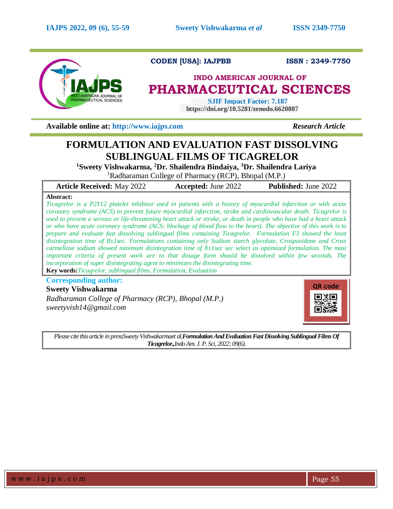

# **CODEN [USA]: IAJPBB ISSN : 2349-7750**

# **INDO AMERICAN JOURNAL OF PHARMACEUTICAL SCIENCES**

 **SJIF Impact Factor: 7.187 https://doi.org/10.5281/zenodo.6620807**

**Available online at: [http://www.iajps.com](http://www.iajps.com/)** *Research Article*

# **FORMULATION AND EVALUATION FAST DISSOLVING SUBLINGUAL FILMS OF TICAGRELOR**

**<sup>1</sup>Sweety Vishwakarma, <sup>2</sup>Dr. Shailendra Bindaiya, <sup>3</sup>Dr. Shailendra Lariya**

<sup>1</sup>Radharaman College of Pharmacy (RCP), Bhopal (M.P.)

**Article Received:** May 2022 **Accepted:** June 2022 **Published:** June 2022

# **Abstract:**

*Ticagrelor is a P2Y12 platelet inhibitor used in patients with a history of myocardial infarction or with acute coronary syndrome (ACS) to prevent future myocardial infarction, stroke and cardiovascular death. Ticagrelor is used to prevent a serious or life-threatening heart attack or stroke, or death in people who have had a heart attack or who have acute coronary syndrome (ACS; blockage of blood flow to the heart). The objective of this work is to prepare and evaluate fast dissolving sublingual films containing Ticagrelor. Formulation F3 showed the least disintegration time of 8±1sec. Formulations containing only Sodium starch glycolate, Crospovidone and Cross carmellose sodium showed minimum disintegration time of 8±1sec sec select as optimized formulation. The most important criteria of present work are to that dosage form should be dissolved within few seconds. The incorporation of super disintegrating agent to minimizes the disintegrating time.* **Key words:***Ticagrelor, sublingual films, Formulation, Evaluation*

**Corresponding author:** 

# **Sweety Vishwakarma**

*Radharaman College of Pharmacy (RCP), Bhopal (M.P.) sweetyvish14@gmail.com*



*Please cite this article in pressSweety Vishwakarmaet al,Formulation And Evaluation Fast Dissolving Sublingual Films Of Ticagrelor.,Indo Am. J. P. Sci, 2022; 09(6).*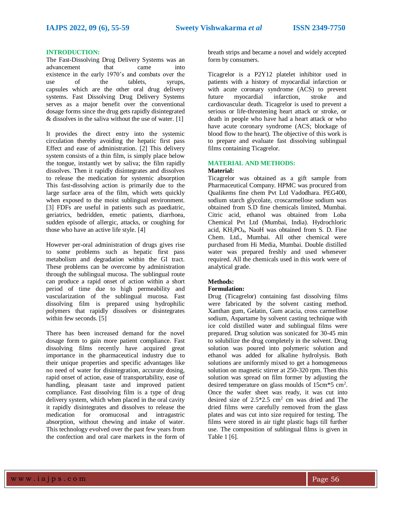### **INTRODUCTION:**

The Fast-Dissolving Drug Delivery Systems was an advancement that came into existence in the early 1970's and combats over the use of the tablets, syrups, capsules which are the other oral drug delivery systems. Fast Dissolving Drug Delivery Systems serves as a major benefit over the conventional dosage forms since the drug gets rapidly disintegrated & dissolves in the saliva without the use of water. [1]

It provides the direct entry into the systemic circulation thereby avoiding the hepatic first pass Effect and ease of administration. [2] This delivery system consists of a thin film, is simply place below the tongue, instantly wet by saliva; the film rapidly dissolves. Then it rapidly disintegrates and dissolves to release the medication for systemic absorption This fast-dissolving action is primarily due to the large surface area of the film, which wets quickly when exposed to the moist sublingual environment. [3] FDFs are useful in patients such as paediatric, geriatrics, bedridden, emetic patients, diarrhoea, sudden episode of allergic, attacks, or coughing for those who have an active life style. [4]

However per-oral administration of drugs gives rise to some problems such as hepatic first pass metabolism and degradation within the GI tract. These problems can be overcome by administration through the sublingual mucosa. The sublingual route can produce a rapid onset of action within a short period of time due to high permeability and vascularization of the sublingual mucosa. Fast dissolving film is prepared using hydrophilic polymers that rapidly dissolves or disintegrates within few seconds. [5]

There has been increased demand for the novel dosage form to gain more patient compliance. Fast dissolving films recently have acquired great importance in the pharmaceutical industry due to their unique properties and specific advantages like no need of water for disintegration, accurate dosing, rapid onset of action, ease of transportability, ease of handling, pleasant taste and improved patient compliance. Fast dissolving film is a type of drug delivery system, which when placed in the oral cavity it rapidly disintegrates and dissolves to release the medication for oromucosal and intragastric absorption, without chewing and intake of water. This technology evolved over the past few years from the confection and oral care markets in the form of

breath strips and became a novel and widely accepted form by consumers.

Ticagrelor is a P2Y12 platelet inhibitor used in patients with a history of myocardial infarction or with acute coronary syndrome (ACS) to prevent future myocardial infarction, stroke and cardiovascular death. Ticagrelor is used to prevent a serious or life-threatening heart attack or stroke, or death in people who have had a heart attack or who have acute coronary syndrome (ACS; blockage of blood flow to the heart). The objective of this work is to prepare and evaluate fast dissolving sublingual films containing Ticagrelor.

# **MATERIAL AND METHODS: Material:**

Ticagrelor was obtained as a gift sample from Pharmaceutical Company. HPMC was procured from Qualikems fine chem Pvt Ltd Vadodhara. PEG400, sodium starch glycolate, croscarmellose sodium was obtained from S.D fine chemicals limited, Mumbai. Citric acid, ethanol was obtained from Loba Chemical Pvt Ltd (Mumbai, India). Hydrochloric acid, KH2PO4, NaoH was obtained from S. D. Fine Chem. Ltd., Mumbai. All other chemical were purchased from Hi Media, Mumbai. Double distilled water was prepared freshly and used whenever required. All the chemicals used in this work were of analytical grade.

# **Methods:**

#### **Formulation:**

Drug (Ticagrelor) containing fast dissolving films were fabricated by the solvent casting method. Xanthan gum, Gelatin, Gum acacia, cross carmellose sodium, Aspartame by solvent casting technique with ice cold distilled water and sublingual films were prepared. Drug solution was sonicated for 30-45 min to solubilize the drug completely in the solvent. Drug solution was poured into polymeric solution and ethanol was added for alkaline hydrolysis. Both solutions are uniformly mixed to get a homogeneous solution on magnetic stirrer at 250-320 rpm. Then this solution was spread on film former by adjusting the desired temperature on glass moulds of 15cm\*5 cm<sup>2</sup>. Once the wafer sheet was ready, it was cut into desired size of  $2.5*2.5$  cm<sup>2</sup> cm was dried and The dried films were carefully removed from the glass plates and was cut into size required for testing. The films were stored in air tight plastic bags till further use. The composition of sublingual films is given in Table 1 [6].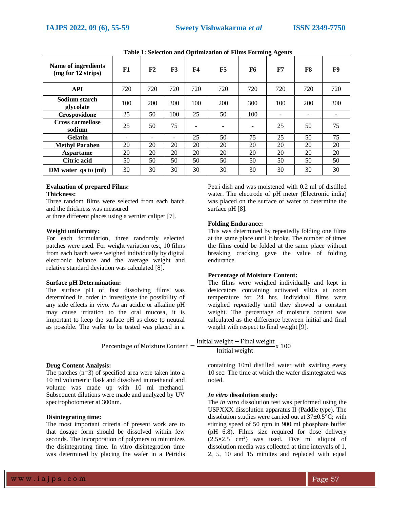|                                           |     |     |     |           | $\sim$ pointed on $\alpha$ is a many in ordering region to |           |     |     |     |
|-------------------------------------------|-----|-----|-----|-----------|------------------------------------------------------------|-----------|-----|-----|-----|
| Name of ingredients<br>(mg for 12 strips) | F1  | F2  | F3  | <b>F4</b> | F5                                                         | <b>F6</b> | F7  | F8  | F9  |
| <b>API</b>                                | 720 | 720 | 720 | 720       | 720                                                        | 720       | 720 | 720 | 720 |
| Sodium starch<br>glycolate                | 100 | 200 | 300 | 100       | 200                                                        | 300       | 100 | 200 | 300 |
| Crospovidone                              | 25  | 50  | 100 | 25        | 50                                                         | 100       |     | -   |     |
| <b>Cross carmellose</b><br>sodium         | 25  | 50  | 75  |           |                                                            | -         | 25  | 50  | 75  |
| <b>Gelatin</b>                            | -   |     | ٠   | 25        | 50                                                         | 75        | 25  | 50  | 75  |
| <b>Methyl Paraben</b>                     | 20  | 20  | 20  | 20        | 20                                                         | 20        | 20  | 20  | 20  |
| <b>Aspartame</b>                          | 20  | 20  | 20  | 20        | 20                                                         | 20        | 20  | 20  | 20  |
| <b>Citric acid</b>                        | 50  | 50  | 50  | 50        | 50                                                         | 50        | 50  | 50  | 50  |
| DM water $\gamma$ as to (ml)              | 30  | 30  | 30  | 30        | 30                                                         | 30        | 30  | 30  | 30  |

**Table 1: Selection and Optimization of Films Forming Agents**

### **Evaluation of prepared Films: Thickness:**

Three random films were selected from each batch and the thickness was measured

at three different places using a vernier caliper [7].

#### **Weight uniformity:**

For each formulation, three randomly selected patches were used. For weight variation test, 10 films from each batch were weighed individually by digital electronic balance and the average weight and relative standard deviation was calculated [8].

#### **Surface pH Determination:**

The surface pH of fast dissolving films was determined in order to investigate the possibility of any side effects in vivo. As an acidic or alkaline pH may cause irritation to the oral mucosa, it is important to keep the surface pH as close to neutral as possible. The wafer to be tested was placed in a

Percentage of Moisture Content =

#### **Drug Content Analysis:**

The patches  $(n=3)$  of specified area were taken into a 10 ml volumetric flask and dissolved in methanol and volume was made up with 10 ml methanol. Subsequent dilutions were made and analyzed by UV spectrophotometer at 300nm.

### **Disintegrating time:**

The most important criteria of present work are to that dosage form should be dissolved within few seconds. The incorporation of polymers to minimizes the disintegrating time. In vitro disintegration time was determined by placing the wafer in a Petridis

Petri dish and was moistened with 0.2 ml of distilled water. The electrode of pH meter (Electronic india) was placed on the surface of wafer to determine the surface pH [8].

### **Folding Endurance:**

This was determined by repeatedly folding one films at the same place until it broke. The number of times the films could be folded at the same place without breaking cracking gave the value of folding endurance.

# **Percentage of Moisture Content:**

The films were weighed individually and kept in desiccators containing activated silica at room temperature for 24 hrs. Individual films were weighed repeatedly until they showed a constant weight. The percentage of moisture content was calculated as the difference between initial and final weight with respect to final weight [9].

Initial weight – Final weight<br>Initial weight  $x$  100

containing 10ml distilled water with swirling every 10 sec. The time at which the wafer disintegrated was noted.

#### *In vitro* **dissolution study:**

The *in vitro* dissolution test was performed using the USPXXX dissolution apparatus II (Paddle type). The dissolution studies were carried out at 37±0.5°C; with stirring speed of 50 rpm in 900 ml phosphate buffer (pH 6.8). Films size required for dose delivery  $(2.5 \times 2.5 \text{ cm}^2)$  was used. Five ml aliquot of dissolution media was collected at time intervals of 1, 2, 5, 10 and 15 minutes and replaced with equal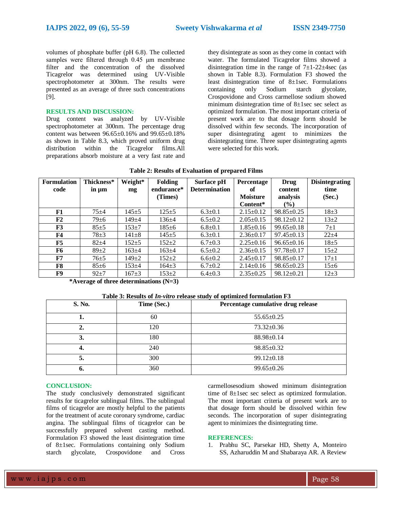volumes of phosphate buffer (pH 6.8). The collected samples were filtered through 0.45 μm membrane filter and the concentration of the dissolved Ticagrelor was determined using UV-Visible spectrophotometer at 300nm. The results were presented as an average of three such concentrations [9].

#### **RESULTS AND DISCUSSION:**

Drug content was analyzed by UV-Visible spectrophotometer at 300nm. The percentage drug content was between 96.65±0.16% and 99.65±0.18% as shown in Table 8.3, which proved uniform drug distribution within the Ticagrelor films.All preparations absorb moisture at a very fast rate and they disintegrate as soon as they come in contact with water. The formulated Ticagrelor films showed a disintegration time in the range of  $7\pm1-22\pm4\text{sec}$  (as shown in Table 8.3). Formulation F3 showed the least disintegration time of 8±1sec. Formulations containing only Sodium starch glycolate, Crospovidone and Cross carmellose sodium showed minimum disintegration time of  $8\pm1$ sec sec select as optimized formulation. The most important criteria of present work are to that dosage form should be dissolved within few seconds. The incorporation of super disintegrating agent to minimizes the disintegrating time. Three super disintegrating agents were selected for this work.

| <b>Formulation</b><br>code | Thickness* | Weight*     | <b>Folding</b><br>endurance* | Surface pH<br><b>Determination</b> | Percentage<br>of | Drug             | <b>Disintegrating</b><br>time |
|----------------------------|------------|-------------|------------------------------|------------------------------------|------------------|------------------|-------------------------------|
|                            | in um      | mg          |                              |                                    |                  | content          |                               |
|                            |            |             | (Times)                      |                                    | <b>Moisture</b>  | analysis         | (Sec.)                        |
|                            |            |             |                              |                                    | Content*         | $\frac{9}{6}$    |                               |
| F1                         | $75 + 4$   | $145 + 5$   | $125 + 5$                    | $6.3 \pm 0.1$                      | $2.15 \pm 0.12$  | $98.85 \pm 0.25$ | $18+3$                        |
| F <sub>2</sub>             | $79 \pm 6$ | 149±4       | $136 + 4$                    | $6.5 \pm 0.2$                      | $2.05 \pm 0.15$  | $98.12 \pm 0.12$ | $13\pm 2$                     |
| F3                         | $85+5$     | $153 + 7$   | $185 \pm 6$                  | $6.8 \pm 0.1$                      | $1.85 \pm 0.16$  | $99.65 \pm 0.18$ | $7\pm1$                       |
| F4                         | $78 + 3$   | $141 \pm 8$ | $145 + 5$                    | $6.3 \pm 0.1$                      | $2.36 \pm 0.17$  | $97.45 \pm 0.13$ | $22 + 4$                      |
| F5                         | $82 + 4$   | $152 + 5$   | $152 + 2$                    | $6.7 \pm 0.3$                      | $2.25 \pm 0.16$  | $96.65 \pm 0.16$ | $18\pm 5$                     |
| F6                         | $89+2$     | $163+4$     | $163+4$                      | $6.5 \pm 0.2$                      | $2.36 \pm 0.15$  | $97.78 \pm 0.17$ | $15 \pm 2$                    |
| F7                         | $76 + 5$   | $149 \pm 2$ | $152 + 2$                    | $6.6 \pm 0.2$                      | $2.45 \pm 0.17$  | $98.85 \pm 0.17$ | $17+1$                        |
| F8                         | $85 \pm 6$ | $153 + 4$   | $164 + 3$                    | $6.7 \pm 0.2$                      | $2.14\pm0.16$    | $98.65 \pm 0.23$ | $15\pm 6$                     |
| F9                         | $92+7$     | $167 + 3$   | $153+2$                      | $6.4 \pm 0.3$                      | $2.35 \pm 0.25$  | $98.12 \pm 0.21$ | $12+3$                        |

|  |  | Table 2: Results of Evaluation of prepared Films |  |  |
|--|--|--------------------------------------------------|--|--|
|--|--|--------------------------------------------------|--|--|

**\*Average of three determinations (N=3)**

### **Table 3: Results of** *In-vitro* **release study of optimized formulation F3**

| S. No. | Time (Sec.) | Percentage cumulative drug release |
|--------|-------------|------------------------------------|
|        | 60          | $55.65 \pm 0.25$                   |
|        | 120         | $73.32 \pm 0.36$                   |
| 3.     | 180         | $88.98 \pm 0.14$                   |
| 4.     | 240         | $98.85 \pm 0.32$                   |
| 5.     | 300         | $99.12 \pm 0.18$                   |
| 6.     | 360         | $99.65 \pm 0.26$                   |

#### **CONCLUSION:**

The study conclusively demonstrated significant results for ticagrelor sublingual films. The sublingual films of ticagrelor are mostly helpful to the patients for the treatment of acute coronary syndrome, cardiac angina. The sublingual films of ticagrelor can be successfully prepared solvent casting method. Formulation F3 showed the least disintegration time of 8±1sec. Formulations containing only Sodium starch glycolate, Crospovidone and Cross

carmellosesodium showed minimum disintegration time of 8±1sec sec select as optimized formulation. The most important criteria of present work are to that dosage form should be dissolved within few seconds. The incorporation of super disintegrating agent to minimizes the disintegrating time.

#### **REFERENCES:**

1. Prabhu SC, Parsekar HD, Shetty A, Monteiro SS, Azharuddin M and Shabaraya AR. A Review